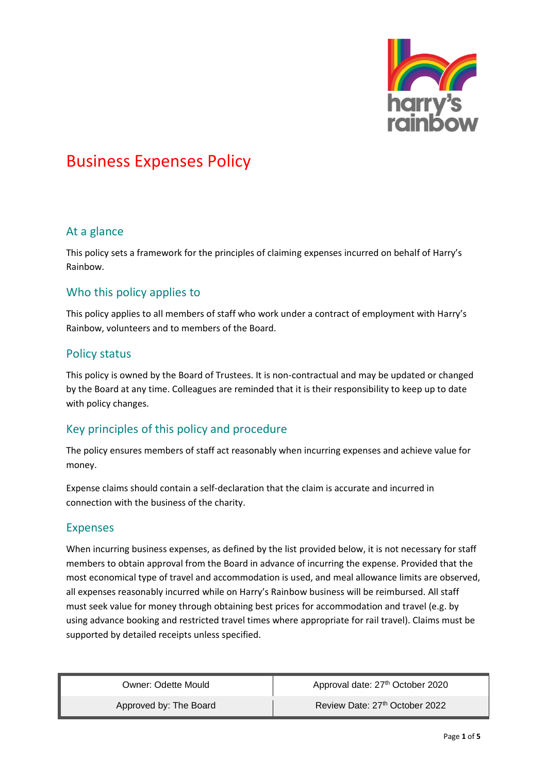

#### At a glance

This policy sets a framework for the principles of claiming expenses incurred on behalf of Harry's Rainbow.

### Who this policy applies to

This policy applies to all members of staff who work under a contract of employment with Harry's Rainbow, volunteers and to members of the Board.

### Policy status

This policy is owned by the Board of Trustees. It is non-contractual and may be updated or changed by the Board at any time. Colleagues are reminded that it is their responsibility to keep up to date with policy changes.

## Key principles of this policy and procedure

The policy ensures members of staff act reasonably when incurring expenses and achieve value for money.

Expense claims should contain a self-declaration that the claim is accurate and incurred in connection with the business of the charity.

#### Expenses

When incurring business expenses, as defined by the list provided below, it is not necessary for staff members to obtain approval from the Board in advance of incurring the expense. Provided that the most economical type of travel and accommodation is used, and meal allowance limits are observed, all expenses reasonably incurred while on Harry's Rainbow business will be reimbursed. All staff must seek value for money through obtaining best prices for accommodation and travel (e.g. by using advance booking and restricted travel times where appropriate for rail travel). Claims must be supported by detailed receipts unless specified.

| Owner: Odette Mould    | Approval date: 27 <sup>th</sup> October 2020 |
|------------------------|----------------------------------------------|
| Approved by: The Board | Review Date: 27th October 2022               |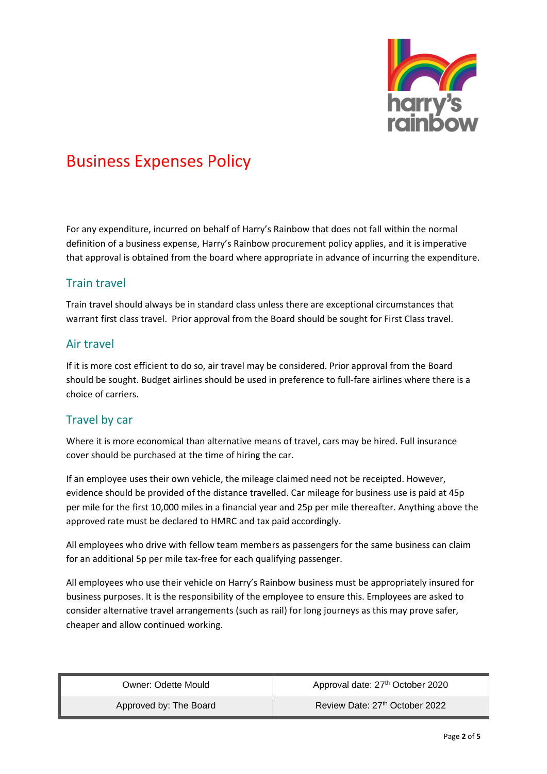

For any expenditure, incurred on behalf of Harry's Rainbow that does not fall within the normal definition of a business expense, Harry's Rainbow procurement policy applies, and it is imperative that approval is obtained from the board where appropriate in advance of incurring the expenditure.

#### Train travel

Train travel should always be in standard class unless there are exceptional circumstances that warrant first class travel. Prior approval from the Board should be sought for First Class travel.

#### Air travel

If it is more cost efficient to do so, air travel may be considered. Prior approval from the Board should be sought. Budget airlines should be used in preference to full-fare airlines where there is a choice of carriers.

## Travel by car

Where it is more economical than alternative means of travel, cars may be hired. Full insurance cover should be purchased at the time of hiring the car.

If an employee uses their own vehicle, the mileage claimed need not be receipted. However, evidence should be provided of the distance travelled. Car mileage for business use is paid at 45p per mile for the first 10,000 miles in a financial year and 25p per mile thereafter. Anything above the approved rate must be declared to HMRC and tax paid accordingly.

All employees who drive with fellow team members as passengers for the same business can claim for an additional 5p per mile tax-free for each qualifying passenger.

All employees who use their vehicle on Harry's Rainbow business must be appropriately insured for business purposes. It is the responsibility of the employee to ensure this. Employees are asked to consider alternative travel arrangements (such as rail) for long journeys as this may prove safer, cheaper and allow continued working.

| Owner: Odette Mould    | Approval date: 27 <sup>th</sup> October 2020 |
|------------------------|----------------------------------------------|
| Approved by: The Board | Review Date: 27 <sup>th</sup> October 2022   |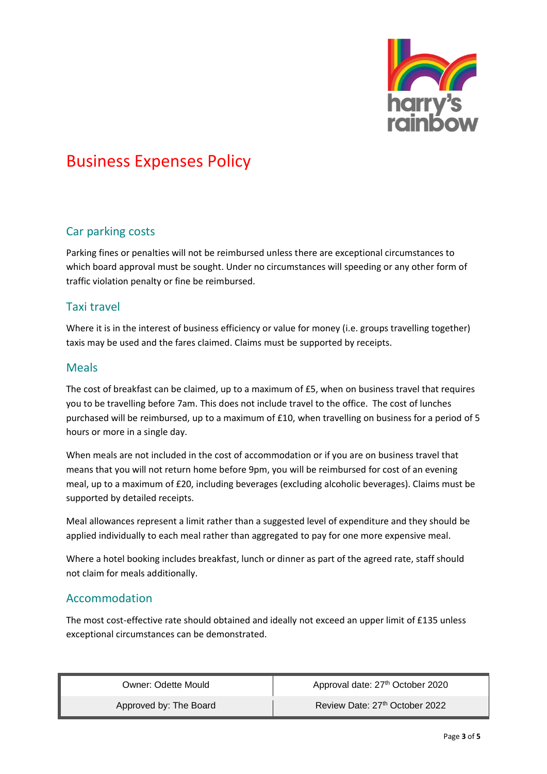

## Car parking costs

Parking fines or penalties will not be reimbursed unless there are exceptional circumstances to which board approval must be sought. Under no circumstances will speeding or any other form of traffic violation penalty or fine be reimbursed.

### Taxi travel

Where it is in the interest of business efficiency or value for money (i.e. groups travelling together) taxis may be used and the fares claimed. Claims must be supported by receipts.

#### Meals

The cost of breakfast can be claimed, up to a maximum of £5, when on business travel that requires you to be travelling before 7am. This does not include travel to the office. The cost of lunches purchased will be reimbursed, up to a maximum of £10, when travelling on business for a period of 5 hours or more in a single day.

When meals are not included in the cost of accommodation or if you are on business travel that means that you will not return home before 9pm, you will be reimbursed for cost of an evening meal, up to a maximum of £20, including beverages (excluding alcoholic beverages). Claims must be supported by detailed receipts.

Meal allowances represent a limit rather than a suggested level of expenditure and they should be applied individually to each meal rather than aggregated to pay for one more expensive meal.

Where a hotel booking includes breakfast, lunch or dinner as part of the agreed rate, staff should not claim for meals additionally.

## Accommodation

The most cost-effective rate should obtained and ideally not exceed an upper limit of £135 unless exceptional circumstances can be demonstrated.

| Owner: Odette Mould    | Approval date: 27 <sup>th</sup> October 2020 |
|------------------------|----------------------------------------------|
| Approved by: The Board | Review Date: 27th October 2022               |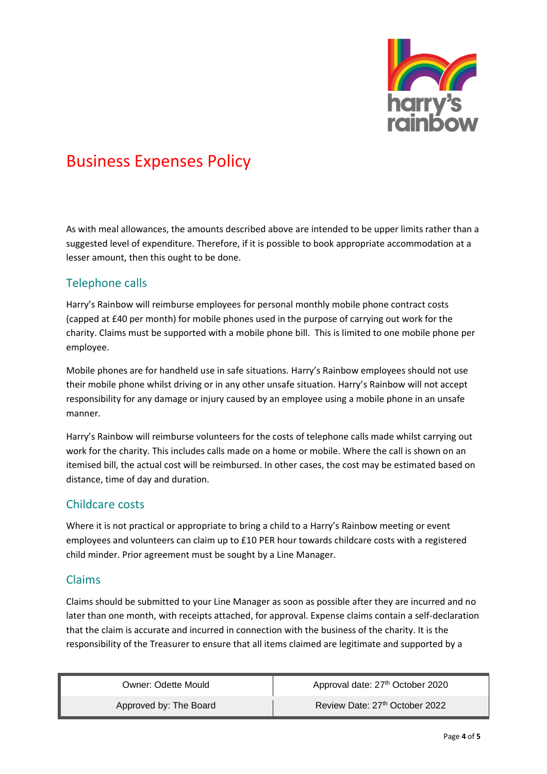

As with meal allowances, the amounts described above are intended to be upper limits rather than a suggested level of expenditure. Therefore, if it is possible to book appropriate accommodation at a lesser amount, then this ought to be done.

### Telephone calls

Harry's Rainbow will reimburse employees for personal monthly mobile phone contract costs (capped at £40 per month) for mobile phones used in the purpose of carrying out work for the charity. Claims must be supported with a mobile phone bill. This is limited to one mobile phone per employee.

Mobile phones are for handheld use in safe situations. Harry's Rainbow employees should not use their mobile phone whilst driving or in any other unsafe situation. Harry's Rainbow will not accept responsibility for any damage or injury caused by an employee using a mobile phone in an unsafe manner.

Harry's Rainbow will reimburse volunteers for the costs of telephone calls made whilst carrying out work for the charity. This includes calls made on a home or mobile. Where the call is shown on an itemised bill, the actual cost will be reimbursed. In other cases, the cost may be estimated based on distance, time of day and duration.

## Childcare costs

Where it is not practical or appropriate to bring a child to a Harry's Rainbow meeting or event employees and volunteers can claim up to £10 PER hour towards childcare costs with a registered child minder. Prior agreement must be sought by a Line Manager.

#### Claims

Claims should be submitted to your Line Manager as soon as possible after they are incurred and no later than one month, with receipts attached, for approval. Expense claims contain a self-declaration that the claim is accurate and incurred in connection with the business of the charity. It is the responsibility of the Treasurer to ensure that all items claimed are legitimate and supported by a

| Owner: Odette Mould    | Approval date: 27 <sup>th</sup> October 2020 |
|------------------------|----------------------------------------------|
| Approved by: The Board | Review Date: 27th October 2022               |